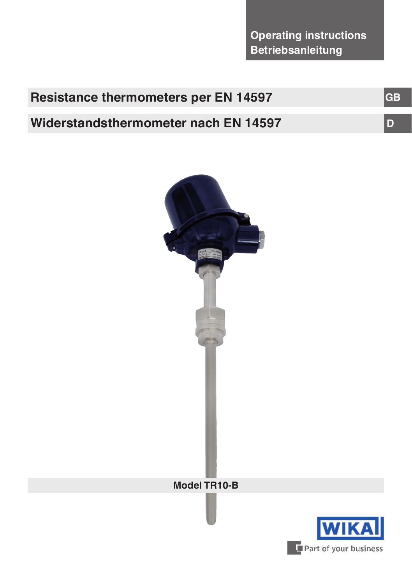| <b>Resistance thermometers per EN 14597</b> | <b>IGB</b> |
|---------------------------------------------|------------|
| Widerstandsthermometer nach EN 14597        |            |



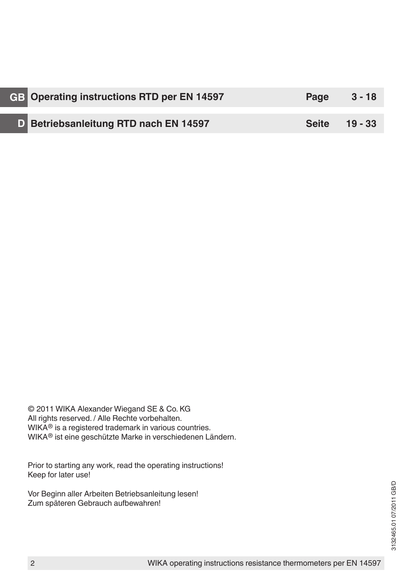| GB Operating instructions RTD per EN 14597   | Page          | $3 - 18$ |
|----------------------------------------------|---------------|----------|
|                                              |               |          |
| <b>D</b> Betriebsanleitung RTD nach EN 14597 | Seite 19 - 33 |          |

© 2011 WIKA Alexander Wiegand SE & Co. KG All rights reserved. / Alle Rechte vorbehalten. WIKA<sup>®</sup> is a registered trademark in various countries. WIKA® ist eine geschützte Marke in verschiedenen Ländern.

Prior to starting any work, read the operating instructions! Keep for later use!

Vor Beginn aller Arbeiten Betriebsanleitung lesen! Zum späteren Gebrauch aufbewahren!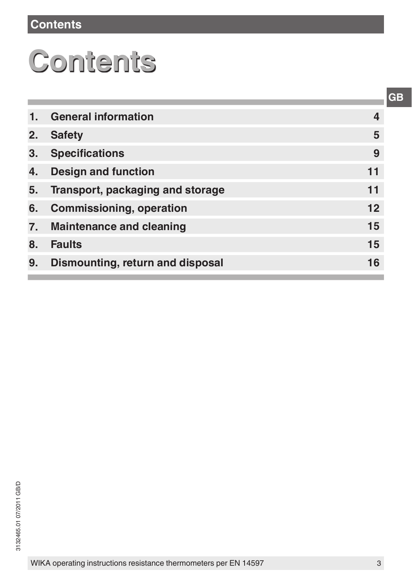# **Contents**

# **Contents**

| 1.               | <b>General information</b>       | 4  |
|------------------|----------------------------------|----|
| 2.               | <b>Safety</b>                    | 5  |
| 3.               | <b>Specifications</b>            | 9  |
| 4.               | <b>Design and function</b>       | 11 |
| 5.               | Transport, packaging and storage | 11 |
| 6.               | <b>Commissioning, operation</b>  | 12 |
| $\overline{7}$ . | <b>Maintenance and cleaning</b>  | 15 |
| 8.               | <b>Faults</b>                    | 15 |
| 9.               | Dismounting, return and disposal | 16 |
|                  |                                  |    |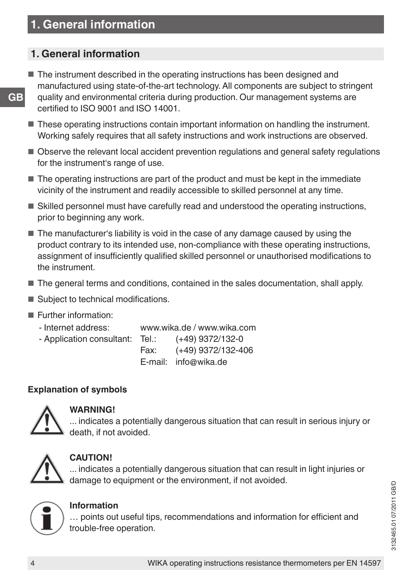# **1. General information**

- The instrument described in the operating instructions has been designed and manufactured using state-of-the-art technology. All components are subject to stringent quality and environmental criteria during production. Our management systems are certified to ISO 9001 and ISO 14001.
- These operating instructions contain important information on handling the instrument. Working safely requires that all safety instructions and work instructions are observed.
- Observe the relevant local accident prevention regulations and general safety regulations for the instrument's range of use.
- The operating instructions are part of the product and must be kept in the immediate vicinity of the instrument and readily accessible to skilled personnel at any time.
- Skilled personnel must have carefully read and understood the operating instructions, prior to beginning any work.
- The manufacturer's liability is void in the case of any damage caused by using the product contrary to its intended use, non-compliance with these operating instructions, assignment of insufficiently qualified skilled personnel or unauthorised modifications to the instrument.
- The general terms and conditions, contained in the sales documentation, shall apply.
- Subject to technical modifications.
- Further information:
	- Internet address: www.wika.de / www.wika.com
	- Application consultant: Tel.: (+49) 9372/132-0
		- Fax: (+49) 9372/132-406
			- E-mail: info@wika.de

## **Explanation of symbols**



#### **WARNING!**

... indicates a potentially dangerous situation that can result in serious injury or death, if not avoided.



## **CAUTION!**

... indicates a potentially dangerous situation that can result in light injuries or damage to equipment or the environment, if not avoided.



#### **Information**

… points out useful tips, recommendations and information for efficient and trouble-free operation.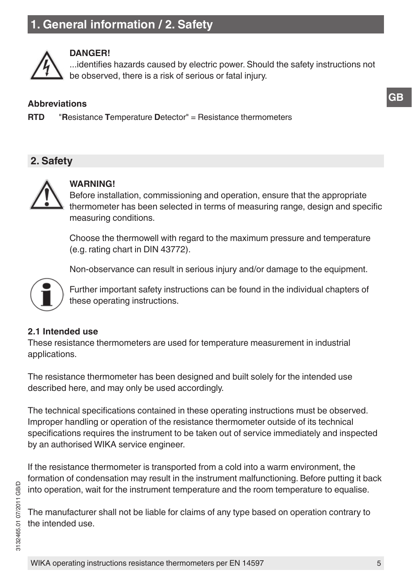# **1. General information / 2. Safety**



#### **DANGER!**

...identifies hazards caused by electric power. Should the safety instructions not be observed, there is a risk of serious or fatal injury.

## **Abbreviations**

**RTD** "**R**esistance **T**emperature **D**etector" = Resistance thermometers

# **2. Safety**



#### **WARNING!**

Before installation, commissioning and operation, ensure that the appropriate thermometer has been selected in terms of measuring range, design and specific measuring conditions.

Choose the thermowell with regard to the maximum pressure and temperature (e.g. rating chart in DIN 43772).

Non-observance can result in serious injury and/or damage to the equipment.



Further important safety instructions can be found in the individual chapters of these operating instructions.

## **2.1 Intended use**

These resistance thermometers are used for temperature measurement in industrial applications.

The resistance thermometer has been designed and built solely for the intended use described here, and may only be used accordingly.

The technical specifications contained in these operating instructions must be observed. Improper handling or operation of the resistance thermometer outside of its technical specifications requires the instrument to be taken out of service immediately and inspected by an authorised WIKA service engineer.

If the resistance thermometer is transported from a cold into a warm environment, the formation of condensation may result in the instrument malfunctioning. Before putting it back into operation, wait for the instrument temperature and the room temperature to equalise.

The manufacturer shall not be liable for claims of any type based on operation contrary to the intended use.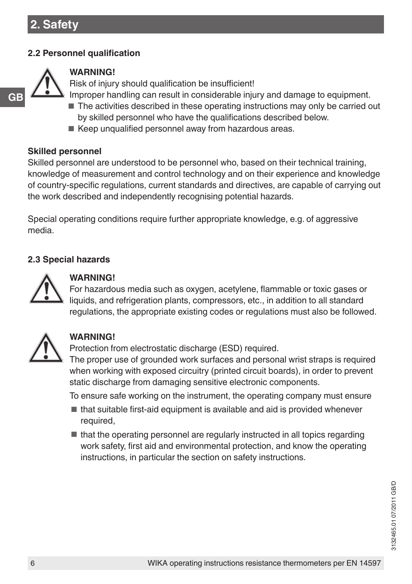## **2.2 Personnel qualification**



**GB**

## **WARNING!**

Risk of injury should qualification be insufficient!

- Improper handling can result in considerable injury and damage to equipment.
- The activities described in these operating instructions may only be carried out by skilled personnel who have the qualifications described below.
- Keep unqualified personnel away from hazardous areas.

### **Skilled personnel**

Skilled personnel are understood to be personnel who, based on their technical training, knowledge of measurement and control technology and on their experience and knowledge of country-specific regulations, current standards and directives, are capable of carrying out the work described and independently recognising potential hazards.

Special operating conditions require further appropriate knowledge, e.g. of aggressive media.

## **2.3 Special hazards**



#### **WARNING!**

For hazardous media such as oxygen, acetylene, flammable or toxic gases or liquids, and refrigeration plants, compressors, etc., in addition to all standard regulations, the appropriate existing codes or regulations must also be followed.



# **WARNING!**

Protection from electrostatic discharge (ESD) required. The proper use of grounded work surfaces and personal wrist straps is required when working with exposed circuitry (printed circuit boards), in order to prevent static discharge from damaging sensitive electronic components.

To ensure safe working on the instrument, the operating company must ensure

- that suitable first-aid equipment is available and aid is provided whenever required,
- that the operating personnel are regularly instructed in all topics regarding work safety, first aid and environmental protection, and know the operating instructions, in particular the section on safety instructions.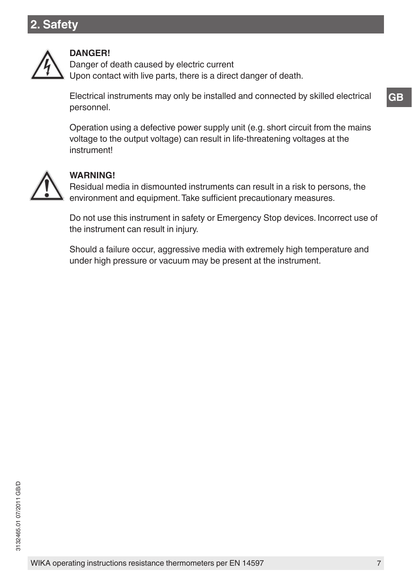# **2. Safety**



#### **DANGER!**

Danger of death caused by electric current Upon contact with live parts, there is a direct danger of death.

Electrical instruments may only be installed and connected by skilled electrical personnel.

Operation using a defective power supply unit (e.g. short circuit from the mains voltage to the output voltage) can result in life-threatening voltages at the instrument!



#### **WARNING!**

Residual media in dismounted instruments can result in a risk to persons, the environment and equipment. Take sufficient precautionary measures.

Do not use this instrument in safety or Emergency Stop devices. Incorrect use of the instrument can result in injury.

Should a failure occur, aggressive media with extremely high temperature and under high pressure or vacuum may be present at the instrument.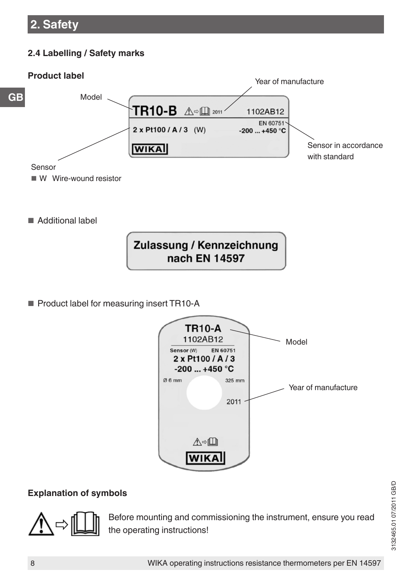# **2. Safety**

## **2.4 Labelling / Safety marks**



**WIKA** 

Sensor in accordance with standard

Year of manufacture

**EN 60751** 

Sensor

- W Wire-wound resistor
- Additional label



■ Product label for measuring insert TR10-A



#### **Explanation of symbols**



Before mounting and commissioning the instrument, ensure you read the operating instructions!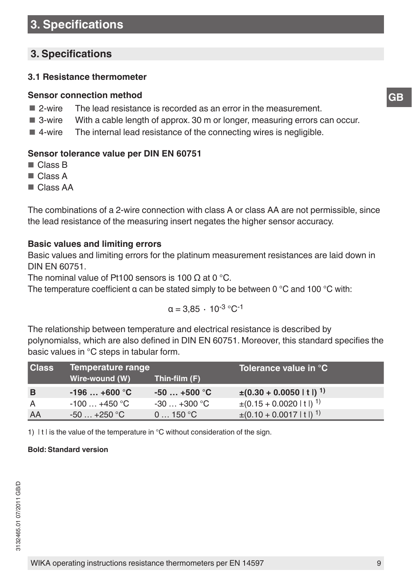# **3. Specifications**

# **3. Specifications**

#### **3.1 Resistance thermometer**

#### **Sensor connection method**

- 2-wire The lead resistance is recorded as an error in the measurement.
- 3-wire With a cable length of approx. 30 m or longer, measuring errors can occur.
- 4-wire The internal lead resistance of the connecting wires is negligible.

#### **Sensor tolerance value per DIN EN 60751**

- Class B
- Class A
- Class AA

The combinations of a 2-wire connection with class A or class AA are not permissible, since the lead resistance of the measuring insert negates the higher sensor accuracy.

#### **Basic values and limiting errors**

Basic values and limiting errors for the platinum measurement resistances are laid down in DIN EN 60751.

The nominal value of Pt100 sensors is 100  $\Omega$  at 0 °C.

The temperature coefficient  $\alpha$  can be stated simply to be between 0 °C and 100 °C with:

$$
\alpha=3.85~\cdot~10^{\text{-}3}\text{ }^\circ\text{C}^{\text{-}1}
$$

The relationship between temperature and electrical resistance is described by polynomialss, which are also defined in DIN EN 60751. Moreover, this standard specifies the basic values in °C steps in tabular form.

| <b>Class</b> | Temperature range       |                         | Tolerance value in °C                 |
|--------------|-------------------------|-------------------------|---------------------------------------|
|              | Wire-wound (W)          | Thin-film (F)           |                                       |
| B            | $-196+600 °C$           | $-50+500$ °C            | $\pm (0.30 + 0.0050 \mid t \mid)^{1}$ |
| A            | $-100+450$ °C           | $-30+300$ °C            | $\pm (0.15 + 0.0020 \mid t \mid)^1$   |
| AA           | $-50+250$ °C $^{\circ}$ | $0 \dots 150^{\circ}$ C | $\pm (0.10 + 0.0017 \mid t \mid)^1$   |

1) It I is the value of the temperature in  $\mathrm{C}$  without consideration of the sign.

#### **Bold: Standard version**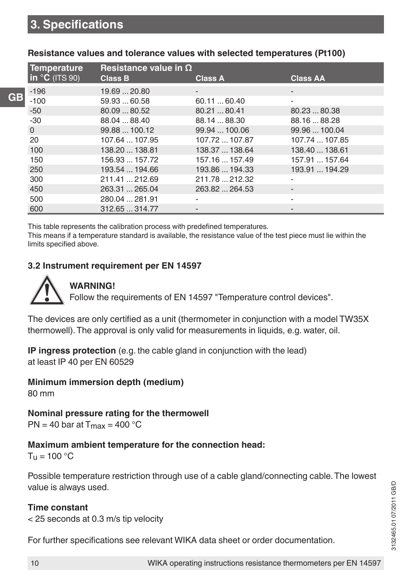**GB**

| <b>Temperature</b> | Resistance value in $\Omega$ |                |                 |
|--------------------|------------------------------|----------------|-----------------|
| $\ln$ °C (ITS 90)  | <b>Class B</b>               | <b>Class A</b> | <b>Class AA</b> |
| $-196$             | 19.69  20.80                 |                | -               |
| $-100$             | 59.93  60.58                 | 60.1160.40     | ۰               |
| $-50$              | 80.0980.52                   | 80.21  80.41   | 80.23  80.38    |
| $-30$              | 88.04  88.40                 | 88.14  88.30   | 88.16  88.28    |
| $\mathbf 0$        | 99.88  100.12                | 99.94  100.06  | 99.96  100.04   |
| 20                 | 107.64  107.95               | 107.72  107.87 | 107.74  107.85  |
| 100                | 138.20  138.81               | 138.37  138.64 | 138.40  138.61  |
| 150                | 156.93  157.72               | 157.16  157.49 | 157.91  157.64  |
| 250                | 193.54  194.66               | 193.86  194.33 | 193.91  194.29  |
| 300                | 211.41  212.69               | 211.78  212.32 | ۰               |
| 450                | 263.31  265.04               | 263.82  264.53 | -               |
| 500                | 280.04  281.91               |                |                 |
| 600                | 312.65  314.77               |                | -               |

#### **Resistance values and tolerance values with selected temperatures (Pt100)**

This table represents the calibration process with predefined temperatures.

This means if a temperature standard is available, the resistance value of the test piece must lie within the limits specified above.

#### **3.2 Instrument requirement per EN 14597**

## **WARNING!**

Follow the requirements of EN 14597 "Temperature control devices".

The devices are only certified as a unit (thermometer in conjunction with a model TW35X thermowell). The approval is only valid for measurements in liquids, e.g. water, oil.

**IP ingress protection** (e.g. the cable gland in conjunction with the lead) at least IP 40 per EN 60529

#### **Minimum immersion depth (medium)**

80 mm

**Nominal pressure rating for the thermowell**

 $PN = 40$  bar at  $T_{max} = 400$  °C

## **Maximum ambient temperature for the connection head:**

 $T<sub>u</sub> = 100 °C$ 

Possible temperature restriction through use of a cable gland/connecting cable. The lowest value is always used.

## **Time constant**

< 25 seconds at 0.3 m/s tip velocity

For further specifications see relevant WIKA data sheet or order documentation.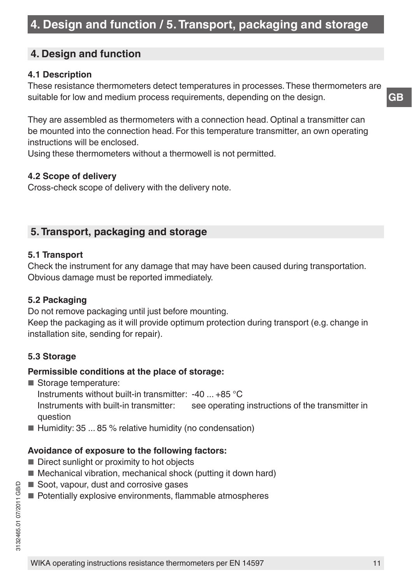# **4. Design and function**

## **4.1 Description**

These resistance thermometers detect temperatures in processes. These thermometers are suitable for low and medium process requirements, depending on the design.

They are assembled as thermometers with a connection head. Optinal a transmitter can be mounted into the connection head. For this temperature transmitter, an own operating instructions will be enclosed.

Using these thermometers without a thermowell is not permitted.

## **4.2 Scope of delivery**

Cross-check scope of delivery with the delivery note.

# **5. Transport, packaging and storage**

#### **5.1 Transport**

Check the instrument for any damage that may have been caused during transportation. Obvious damage must be reported immediately.

#### **5.2 Packaging**

Do not remove packaging until just before mounting.

Keep the packaging as it will provide optimum protection during transport (e.g. change in installation site, sending for repair).

## **5.3 Storage**

#### **Permissible conditions at the place of storage:**

- Storage temperature:
	- Instruments without built-in transmitter: -40 ... +85 °C

Instruments with built-in transmitter: see operating instructions of the transmitter in question

 $\blacksquare$  Humidity: 35 ... 85 % relative humidity (no condensation)

## **Avoidance of exposure to the following factors:**

- Direct sunlight or proximity to hot objects
- Mechanical vibration, mechanical shock (putting it down hard)
- Soot, vapour, dust and corrosive gases
- Potentially explosive environments, flammable atmospheres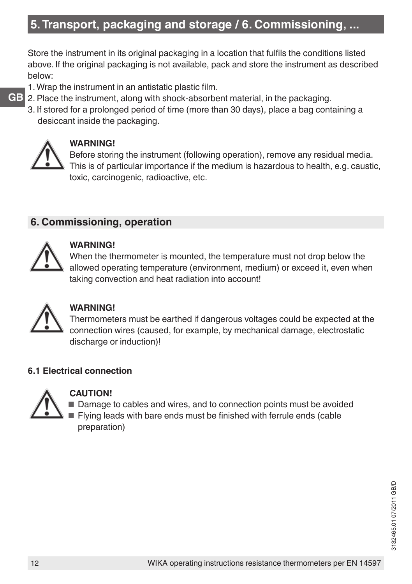# **5. Transport, packaging and storage / 6. Commissioning, ...**

Store the instrument in its original packaging in a location that fulfils the conditions listed above. If the original packaging is not available, pack and store the instrument as described below:

- 1. Wrap the instrument in an antistatic plastic film.
- 2. Place the instrument, along with shock-absorbent material, in the packaging.
- 3. If stored for a prolonged period of time (more than 30 days), place a bag containing a desiccant inside the packaging.



## **WARNING!**

Before storing the instrument (following operation), remove any residual media. This is of particular importance if the medium is hazardous to health, e.g. caustic, toxic, carcinogenic, radioactive, etc.

# **6. Commissioning, operation**



#### **WARNING!**

When the thermometer is mounted, the temperature must not drop below the allowed operating temperature (environment, medium) or exceed it, even when taking convection and heat radiation into account!



## **WARNING!**

Thermometers must be earthed if dangerous voltages could be expected at the connection wires (caused, for example, by mechanical damage, electrostatic discharge or induction)!

## **6.1 Electrical connection**



#### **CAUTION!**

■ Damage to cables and wires, and to connection points must be avoided ■ Flying leads with bare ends must be finished with ferrule ends (cable preparation)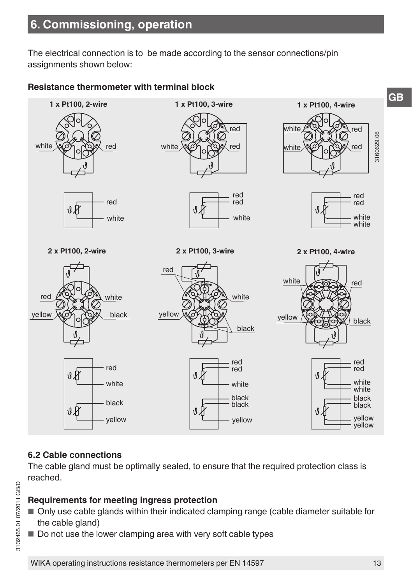# **6. Commissioning, operation**

The electrical connection is to be made according to the sensor connections/pin assignments shown below:

## **Resistance thermometer with terminal block**



## **6.2 Cable connections**

The cable gland must be optimally sealed, to ensure that the required protection class is reached.

## **Requirements for meeting ingress protection**

- Only use cable glands within their indicated clamping range (cable diameter suitable for the cable gland)
- $\blacksquare$  Do not use the lower clamping area with very soft cable types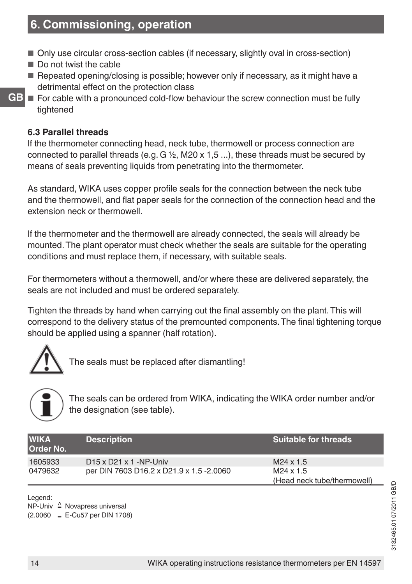# **6. Commissioning, operation**

- Only use circular cross-section cables (if necessary, slightly oval in cross-section)
- Do not twist the cable
- Repeated opening/closing is possible; however only if necessary, as it might have a detrimental effect on the protection class
- For cable with a pronounced cold-flow behaviour the screw connection must be fully tightened

#### **6.3 Parallel threads**

**GB**

If the thermometer connecting head, neck tube, thermowell or process connection are connected to parallel threads (e.g.  $G \frac{1}{2}$ , M20 x 1,5 ...), these threads must be secured by means of seals preventing liquids from penetrating into the thermometer.

As standard, WIKA uses copper profile seals for the connection between the neck tube and the thermowell, and flat paper seals for the connection of the connection head and the extension neck or thermowell.

If the thermometer and the thermowell are already connected, the seals will already be mounted. The plant operator must check whether the seals are suitable for the operating conditions and must replace them, if necessary, with suitable seals.

For thermometers without a thermowell, and/or where these are delivered separately, the seals are not included and must be ordered separately.

Tighten the threads by hand when carrying out the final assembly on the plant. This will correspond to the delivery status of the premounted components. The final tightening torque should be applied using a spanner (half rotation).



The seals must be replaced after dismantling!



The seals can be ordered from WIKA, indicating the WIKA order number and/or the designation (see table).

| <b>WIKA</b><br><b>Order No.</b> | <b>Description</b>                       | <b>Suitable for threads</b> |
|---------------------------------|------------------------------------------|-----------------------------|
| 1605933                         | $D15 \times D21 \times 1 - NP$ -Univ     | $M24 \times 1.5$            |
| 0479632                         | per DIN 7603 D16.2 x D21.9 x 1.5 -2.0060 | M24 x 1.5                   |
|                                 |                                          | (Head neck tube/thermowell) |

Legend:

NP-Univ ≙ Novapress universal  $(2.0060 - E-Cu57)$  per DIN 1708)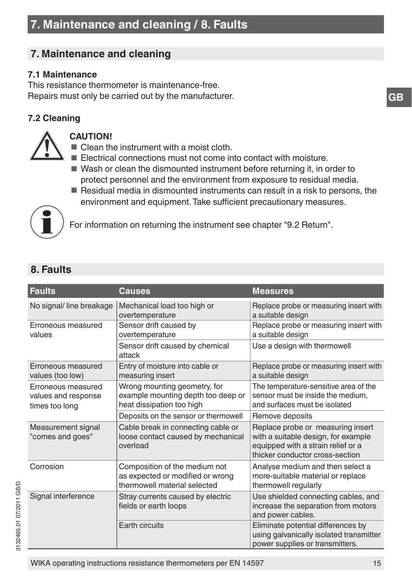# **7. Maintenance and cleaning**

## **7.1 Maintenance**

This resistance thermometer is maintenance-free. Repairs must only be carried out by the manufacturer.

# **7.2 Cleaning**



#### **CAUTION!**

- Clean the instrument with a moist cloth.
- Electrical connections must not come into contact with moisture.
- Wash or clean the dismounted instrument before returning it, in order to protect personnel and the environment from exposure to residual media.
- Residual media in dismounted instruments can result in a risk to persons, the environment and equipment. Take sufficient precautionary measures.



For information on returning the instrument see chapter "9.2 Return".

# **8. Faults**

| <b>Faults</b>                                               | Causes                                                                                            | <b>Measures</b>                                                                                                                                   |
|-------------------------------------------------------------|---------------------------------------------------------------------------------------------------|---------------------------------------------------------------------------------------------------------------------------------------------------|
| No signal/ line breakage                                    | Mechanical load too high or<br>overtemperature                                                    | Replace probe or measuring insert with<br>a suitable design                                                                                       |
| Erroneous measured<br>values                                | Sensor drift caused by<br>overtemperature                                                         | Replace probe or measuring insert with<br>a suitable design                                                                                       |
|                                                             | Sensor drift caused by chemical<br>attack                                                         | Use a design with thermowell                                                                                                                      |
| Erroneous measured<br>values (too low)                      | Entry of moisture into cable or<br>measuring insert                                               | Replace probe or measuring insert with<br>a suitable design                                                                                       |
| Erroneous measured<br>values and response<br>times too long | Wrong mounting geometry, for<br>example mounting depth too deep or<br>heat dissipation too high   | The temperature-sensitive area of the<br>sensor must be inside the medium,<br>and surfaces must be isolated                                       |
|                                                             | Deposits on the sensor or thermowell                                                              | Remove deposits                                                                                                                                   |
| Measurement signal<br>"comes and goes"                      | Cable break in connecting cable or<br>loose contact caused by mechanical<br>overload              | Replace probe or measuring insert<br>with a suitable design, for example<br>equipped with a strain relief or a<br>thicker conductor cross-section |
| Corrosion                                                   | Composition of the medium not<br>as expected or modified or wrong<br>thermowell material selected | Analyse medium and then select a<br>more-suitable material or replace<br>thermowell regularly                                                     |
| Signal interference                                         | Stray currents caused by electric<br>fields or earth loops                                        | Use shielded connecting cables, and<br>increase the separation from motors<br>and power cables.                                                   |
|                                                             | Earth circuits                                                                                    | Eliminate potential differences by<br>using galvanically isolated transmitter<br>power supplies or transmitters.                                  |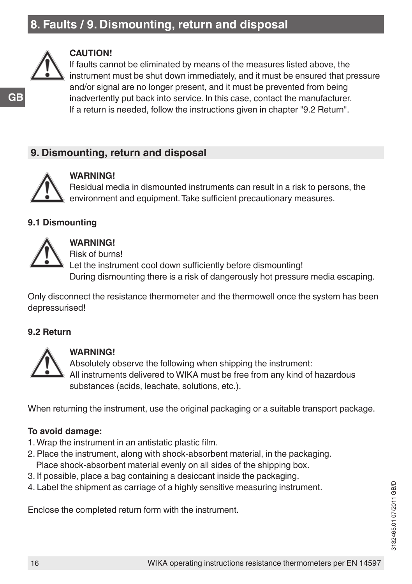# **8. Faults / 9. Dismounting, return and disposal**



#### **CAUTION!**

If faults cannot be eliminated by means of the measures listed above, the instrument must be shut down immediately, and it must be ensured that pressure and/or signal are no longer present, and it must be prevented from being inadvertently put back into service. In this case, contact the manufacturer. If a return is needed, follow the instructions given in chapter "9.2 Return".

# **9. Dismounting, return and disposal**



#### **WARNING!**

Residual media in dismounted instruments can result in a risk to persons, the environment and equipment. Take sufficient precautionary measures.

#### **9.1 Dismounting**



# **WARNING!**

Risk of burns!

Let the instrument cool down sufficiently before dismounting! During dismounting there is a risk of dangerously hot pressure media escaping.

Only disconnect the resistance thermometer and the thermowell once the system has been depressurised!

## **9.2 Return**



#### **WARNING!**

Absolutely observe the following when shipping the instrument: All instruments delivered to WIKA must be free from any kind of hazardous substances (acids, leachate, solutions, etc.).

When returning the instrument, use the original packaging or a suitable transport package.

## **To avoid damage:**

- 1. Wrap the instrument in an antistatic plastic film.
- 2. Place the instrument, along with shock-absorbent material, in the packaging. Place shock-absorbent material evenly on all sides of the shipping box.
- 3. If possible, place a bag containing a desiccant inside the packaging.
- 4. Label the shipment as carriage of a highly sensitive measuring instrument.

Enclose the completed return form with the instrument.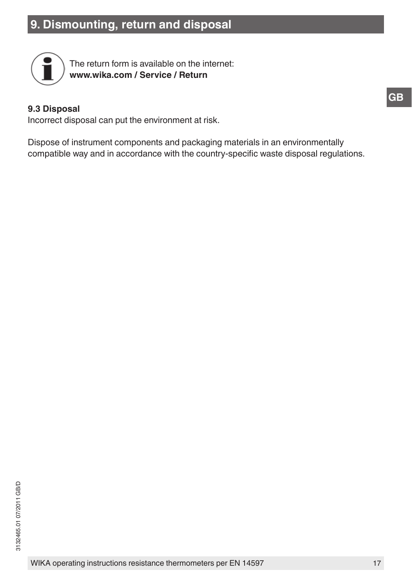# **9. Dismounting, return and disposal**



The return form is available on the internet: **www.wika.com / Service / Return**

#### **9.3 Disposal**

Incorrect disposal can put the environment at risk.

Dispose of instrument components and packaging materials in an environmentally compatible way and in accordance with the country-specific waste disposal regulations.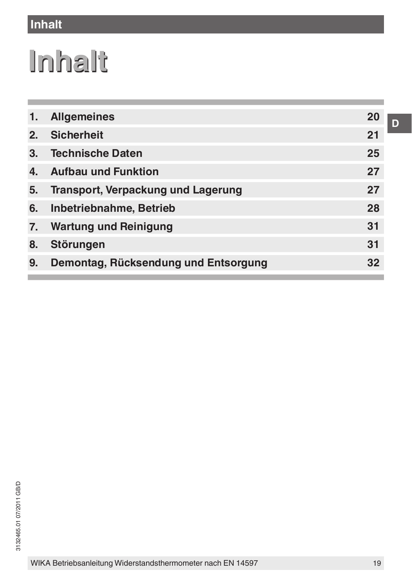# **Inhalt**

# **Inhalt**

| 1.               | <b>Allgemeines</b>                        | 20 |
|------------------|-------------------------------------------|----|
| 2.               | <b>Sicherheit</b>                         | 21 |
| 3.               | <b>Technische Daten</b>                   | 25 |
| 4.               | <b>Aufbau und Funktion</b>                | 27 |
| 5.               | <b>Transport, Verpackung und Lagerung</b> | 27 |
| 6.               | Inbetriebnahme, Betrieb                   | 28 |
| $\overline{7}$ . | <b>Wartung und Reinigung</b>              | 31 |
| 8.               | Störungen                                 | 31 |
| 9.               | Demontag, Rücksendung und Entsorgung      | 32 |
|                  |                                           |    |

**D**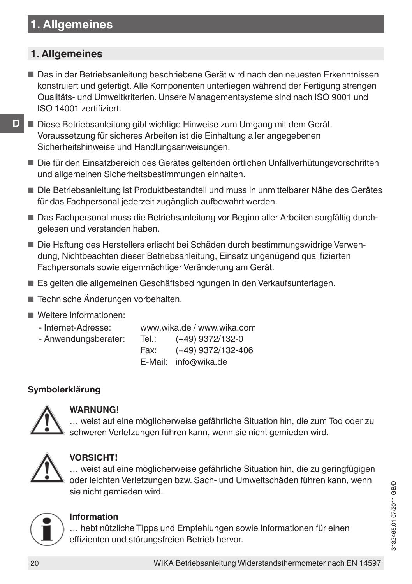# **1. Allgemeines**

# **1. Allgemeines**

■ Das in der Betriebsanleitung beschriebene Gerät wird nach den neuesten Erkenntnissen konstruiert und gefertigt. Alle Komponenten unterliegen während der Fertigung strengen Qualitäts- und Umweltkriterien. Unsere Managementsysteme sind nach ISO 9001 und ISO 14001 zertifiziert.

- Diese Betriebsanleitung gibt wichtige Hinweise zum Umgang mit dem Gerät. Voraussetzung für sicheres Arbeiten ist die Einhaltung aller angegebenen Sicherheitshinweise und Handlungsanweisungen.
- Die für den Einsatzbereich des Gerätes geltenden örtlichen Unfallverhütungsvorschriften und allgemeinen Sicherheitsbestimmungen einhalten.
- Die Betriebsanleitung ist Produktbestandteil und muss in unmittelbarer Nähe des Gerätes für das Fachpersonal jederzeit zugänglich aufbewahrt werden.
- Das Fachpersonal muss die Betriebsanleitung vor Beginn aller Arbeiten sorgfältig durchgelesen und verstanden haben.
- Die Haftung des Herstellers erlischt bei Schäden durch bestimmungswidrige Verwendung, Nichtbeachten dieser Betriebsanleitung, Einsatz ungenügend qualifizierten Fachpersonals sowie eigenmächtiger Veränderung am Gerät.
- Es gelten die allgemeinen Geschäftsbedingungen in den Verkaufsunterlagen.
- Technische Änderungen vorbehalten.
- Weitere Informationen:
- Internet-Adresse: www.wika.de / www.wika.com - Anwendungsberater: Tel.: (+49) 9372/132-0 Fax: (+49) 9372/132-406 E-Mail: info@wika.de

# **Symbolerklärung**



# **WARNUNG!**

… weist auf eine möglicherweise gefährliche Situation hin, die zum Tod oder zu schweren Verletzungen führen kann, wenn sie nicht gemieden wird.



# **VORSICHT!**

… weist auf eine möglicherweise gefährliche Situation hin, die zu geringfügigen oder leichten Verletzungen bzw. Sach- und Umweltschäden führen kann, wenn sie nicht gemieden wird.



## **Information**

… hebt nützliche Tipps und Empfehlungen sowie Informationen für einen effizienten und störungsfreien Betrieb hervor.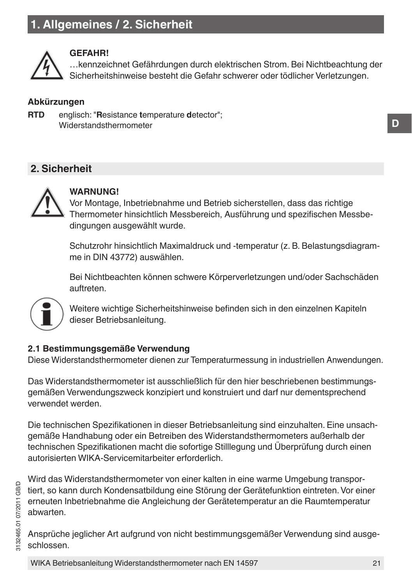# **1. Allgemeines / 2. Sicherheit**



#### **GEFAHR!**

…kennzeichnet Gefährdungen durch elektrischen Strom. Bei Nichtbeachtung der Sicherheitshinweise besteht die Gefahr schwerer oder tödlicher Verletzungen.

#### **Abkürzungen**

**RTD** englisch: "**R**esistance **t**emperature **d**etector"; Widerstandsthermometer

# **2. Sicherheit**



## **WARNUNG!**

Vor Montage, Inbetriebnahme und Betrieb sicherstellen, dass das richtige Thermometer hinsichtlich Messbereich, Ausführung und spezifischen Messbedingungen ausgewählt wurde.

Schutzrohr hinsichtlich Maximaldruck und -temperatur (z. B. Belastungsdiagramme in DIN 43772) auswählen.

Bei Nichtbeachten können schwere Körperverletzungen und/oder Sachschäden auftreten.



Weitere wichtige Sicherheitshinweise befinden sich in den einzelnen Kapiteln dieser Betriebsanleitung.

#### **2.1 Bestimmungsgemäße Verwendung**

Diese Widerstandsthermometer dienen zur Temperaturmessung in industriellen Anwendungen.

Das Widerstandsthermometer ist ausschließlich für den hier beschriebenen bestimmungsgemäßen Verwendungszweck konzipiert und konstruiert und darf nur dementsprechend verwendet werden.

Die technischen Spezifikationen in dieser Betriebsanleitung sind einzuhalten. Eine unsachgemäße Handhabung oder ein Betreiben des Widerstandsthermometers außerhalb der technischen Spezifikationen macht die sofortige Stilllegung und Überprüfung durch einen autorisierten WIKA-Servicemitarbeiter erforderlich.

Wird das Widerstandsthermometer von einer kalten in eine warme Umgebung transportiert, so kann durch Kondensatbildung eine Störung der Gerätefunktion eintreten. Vor einer erneuten Inbetriebnahme die Angleichung der Gerätetemperatur an die Raumtemperatur abwarten.

Ansprüche jeglicher Art aufgrund von nicht bestimmungsgemäßer Verwendung sind ausgeschlossen.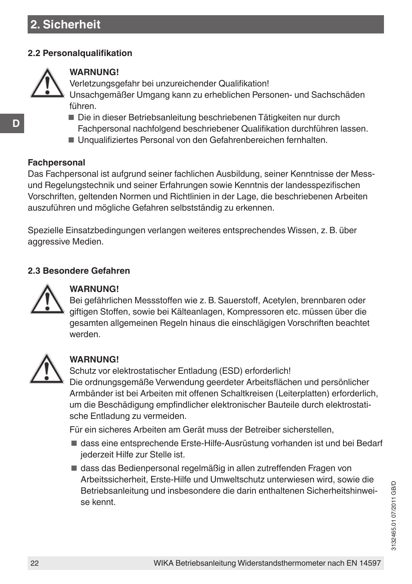# **2. Sicherheit**

#### **2.2 Personalqualifikation**



#### **WARNUNG!**

Verletzungsgefahr bei unzureichender Qualifikation!

Unsachgemäßer Umgang kann zu erheblichen Personen- und Sachschäden führen.

- Die in dieser Betriebsanleitung beschriebenen Tätigkeiten nur durch Fachpersonal nachfolgend beschriebener Qualifikation durchführen lassen.
- Unqualifiziertes Personal von den Gefahrenbereichen fernhalten.

#### **Fachpersonal**

Das Fachpersonal ist aufgrund seiner fachlichen Ausbildung, seiner Kenntnisse der Messund Regelungstechnik und seiner Erfahrungen sowie Kenntnis der landesspezifischen Vorschriften, geltenden Normen und Richtlinien in der Lage, die beschriebenen Arbeiten auszuführen und mögliche Gefahren selbstständig zu erkennen.

Spezielle Einsatzbedingungen verlangen weiteres entsprechendes Wissen, z. B. über aggressive Medien.

## **2.3 Besondere Gefahren**



# **WARNUNG!**

Bei gefährlichen Messstoffen wie z. B. Sauerstoff, Acetylen, brennbaren oder giftigen Stoffen, sowie bei Kälteanlagen, Kompressoren etc. müssen über die gesamten allgemeinen Regeln hinaus die einschlägigen Vorschriften beachtet werden.



## **WARNUNG!**

Schutz vor elektrostatischer Entladung (ESD) erforderlich! Die ordnungsgemäße Verwendung geerdeter Arbeitsflächen und persönlicher Armbänder ist bei Arbeiten mit offenen Schaltkreisen (Leiterplatten) erforderlich, um die Beschädigung empfindlicher elektronischer Bauteile durch elektrostatische Entladung zu vermeiden.

Für ein sicheres Arbeiten am Gerät muss der Betreiber sicherstellen,

- dass eine entsprechende Erste-Hilfe-Ausrüstung vorhanden ist und bei Bedarf jederzeit Hilfe zur Stelle ist.
- dass das Bedienpersonal regelmäßig in allen zutreffenden Fragen von Arbeitssicherheit, Erste-Hilfe und Umweltschutz unterwiesen wird, sowie die Betriebsanleitung und insbesondere die darin enthaltenen Sicherheitshinweise kennt.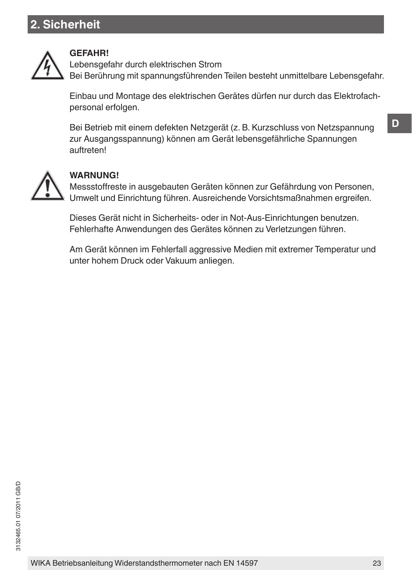# **2. Sicherheit**



#### **GEFAHR!**

Lebensgefahr durch elektrischen Strom Bei Berührung mit spannungsführenden Teilen besteht unmittelbare Lebensgefahr.

Einbau und Montage des elektrischen Gerätes dürfen nur durch das Elektrofachpersonal erfolgen.

Bei Betrieb mit einem defekten Netzgerät (z. B. Kurzschluss von Netzspannung zur Ausgangsspannung) können am Gerät lebensgefährliche Spannungen auftreten!



## **WARNUNG!**

Messstoffreste in ausgebauten Geräten können zur Gefährdung von Personen, Umwelt und Einrichtung führen. Ausreichende Vorsichtsmaßnahmen ergreifen.

Dieses Gerät nicht in Sicherheits- oder in Not-Aus-Einrichtungen benutzen. Fehlerhafte Anwendungen des Gerätes können zu Verletzungen führen.

Am Gerät können im Fehlerfall aggressive Medien mit extremer Temperatur und unter hohem Druck oder Vakuum anliegen.

**D**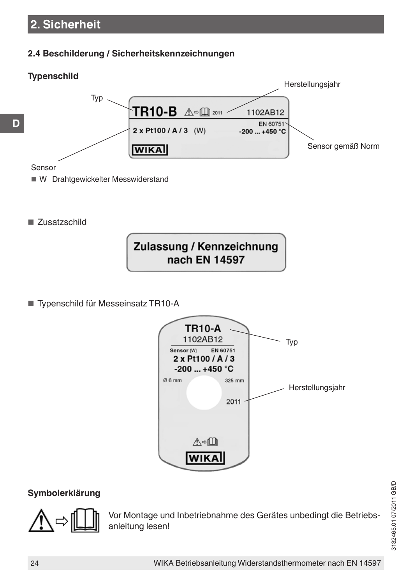# **2. Sicherheit**

## **2.4 Beschilderung / Sicherheitskennzeichnungen**



■ Zusatzschild



■ Typenschild für Messeinsatz TR10-A



## **Symbolerklärung**



Vor Montage und Inbetriebnahme des Gerätes unbedingt die Betriebsanleitung lesen!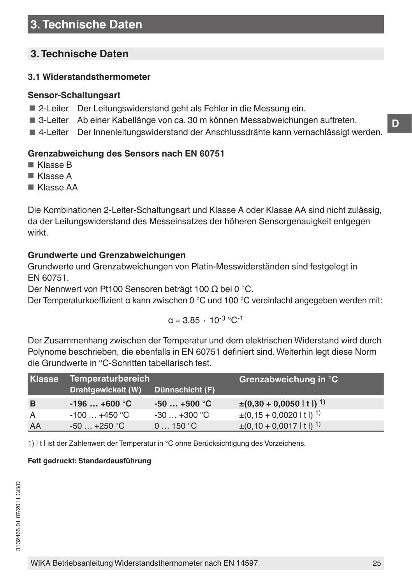# **3. Technische Daten**

## **3.1 Widerstandsthermometer**

#### **Sensor-Schaltungsart**

- 2-Leiter Der Leitungswiderstand geht als Fehler in die Messung ein.
- 3-Leiter Ab einer Kabellänge von ca. 30 m können Messabweichungen auftreten.
- 4-Leiter Der Innenleitungswiderstand der Anschlussdrähte kann vernachlässigt werden.

## **Grenzabweichung des Sensors nach EN 60751**

- Klasse B
- Klasse A
- Klasse AA

Die Kombinationen 2-Leiter-Schaltungsart und Klasse A oder Klasse AA sind nicht zulässig, da der Leitungswiderstand des Messeinsatzes der höheren Sensorgenauigkeit entgegen wirkt.

## **Grundwerte und Grenzabweichungen**

Grundwerte und Grenzabweichungen von Platin-Messwiderständen sind festgelegt in EN 60751.

Der Nennwert von Pt100 Sensoren beträgt 100 Ω bei 0 °C.

Der Temperaturkoeffizient α kann zwischen 0 °C und 100 °C vereinfacht angegeben werden mit:

$$
\alpha=3,85~\cdot~10^{-3}~^\circ C^{-1}
$$

Der Zusammenhang zwischen der Temperatur und dem elektrischen Widerstand wird durch Polynome beschrieben, die ebenfalls in EN 60751 definiert sind. Weiterhin legt diese Norm die Grundwerte in °C-Schritten tabellarisch fest.

| <b>Klasse</b> | <b>Temperaturbereich</b> |                             | Grenzabweichung in °C                  |
|---------------|--------------------------|-----------------------------|----------------------------------------|
|               | Drahtgewickelt (W)       | Dünnschicht (F)             |                                        |
| B             | $-196+600 °C$            | $-50+500$ °C                | $\pm (0.30 + 0.0050 \mid t \mid)^1$    |
| A             | $-100+450$ °C            | $-30+300$ °C                | $\pm (0.15 + 0.0020 \mid t \mid)^1$    |
| AA            | $-50+250$ °C             | $0 \dots 150$ °C $^{\circ}$ | $\pm (0.10 + 0.0017 \,   \, t \,  )^1$ |

1) | t | ist der Zahlenwert der Temperatur in °C ohne Berücksichtigung des Vorzeichens.

#### **Fett gedruckt: Standardausführung**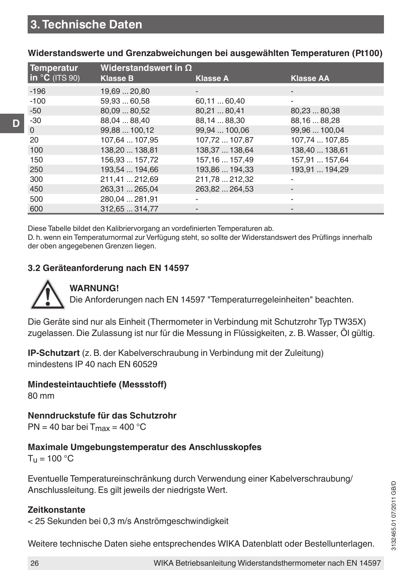| <b>Temperatur</b> | Widerstandswert in $\Omega$ |                 |                  |
|-------------------|-----------------------------|-----------------|------------------|
| $\ln$ °C (ITS 90) | <b>Klasse B</b>             | <b>Klasse A</b> | <b>Klasse AA</b> |
| $-196$            | 19,69  20,80                | -               | -                |
| $-100$            | 59.93  60.58                | 60,1160,40      |                  |
| $-50$             | 80.09  80.52                | 80,2180,41      | 80,2380,38       |
| $-30$             | 88,04  88,40                | 88,14  88,30    | 88,16  88,28     |
| $\mathbf{0}$      | 99,88  100,12               | 99,94  100,06   | 99,96  100,04    |
| 20                | 107.64  107.95              | 107,72  107,87  | 107,74  107,85   |
| 100               | 138,20  138,81              | 138,37  138,64  | 138.40  138.61   |
| 150               | 156.93  157.72              | 157.16  157.49  | 157.91  157.64   |
| 250               | 193,54  194,66              | 193,86  194,33  | 193,91  194,29   |
| 300               | 211,41  212,69              | 211,78  212,32  |                  |
| 450               | 263.31  265.04              | 263.82  264.53  |                  |
| 500               | 280,04  281,91              |                 |                  |
| 600               | 312.65  314.77              |                 |                  |

**Widerstandswerte und Grenzabweichungen bei ausgewählten Temperaturen (Pt100)**

Diese Tabelle bildet den Kalibriervorgang an vordefinierten Temperaturen ab.

D. h. wenn ein Temperaturnormal zur Verfügung steht, so sollte der Widerstandswert des Prüflings innerhalb der oben angegebenen Grenzen liegen.

#### **3.2 Geräteanforderung nach EN 14597**



**D**

# **WARNUNG!**

Die Anforderungen nach EN 14597 "Temperaturregeleinheiten" beachten.

Die Geräte sind nur als Einheit (Thermometer in Verbindung mit Schutzrohr Typ TW35X) zugelassen. Die Zulassung ist nur für die Messung in Flüssigkeiten, z. B. Wasser, Öl gültig.

**IP-Schutzart** (z. B. der Kabelverschraubung in Verbindung mit der Zuleitung) mindestens IP 40 nach EN 60529

**Mindesteintauchtiefe (Messstoff)** 80 mm

**Nenndruckstufe für das Schutzrohr**  $PN = 40$  bar bei  $T_{max} = 400$  °C

# **Maximale Umgebungstemperatur des Anschlusskopfes**

 $T_{\text{H}}$  = 100 °C

Eventuelle Temperatureinschränkung durch Verwendung einer Kabelverschraubung/ Anschlussleitung. Es gilt jeweils der niedrigste Wert.

## **Zeitkonstante**

< 25 Sekunden bei 0,3 m/s Anströmgeschwindigkeit

Weitere technische Daten siehe entsprechendes WIKA Datenblatt oder Bestellunterlagen.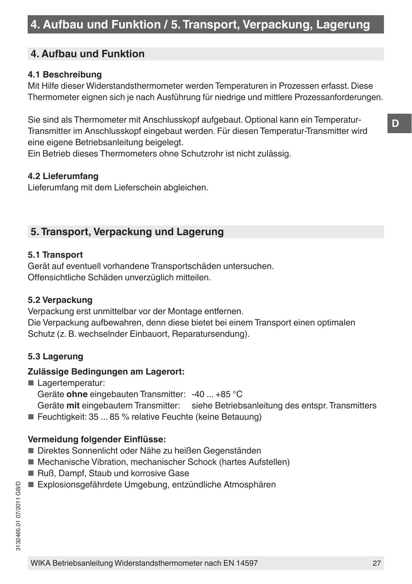# **4. Aufbau und Funktion / 5. Transport, Verpackung, Lagerung**

# **4. Aufbau und Funktion**

#### **4.1 Beschreibung**

Mit Hilfe dieser Widerstandsthermometer werden Temperaturen in Prozessen erfasst. Diese Thermometer eignen sich je nach Ausführung für niedrige und mittlere Prozessanforderungen.

Sie sind als Thermometer mit Anschlusskopf aufgebaut. Optional kann ein Temperatur-Transmitter im Anschlusskopf eingebaut werden. Für diesen Temperatur-Transmitter wird eine eigene Betriebsanleitung beigelegt.

Ein Betrieb dieses Thermometers ohne Schutzrohr ist nicht zulässig.

#### **4.2 Lieferumfang**

Lieferumfang mit dem Lieferschein abgleichen.

# **5. Transport, Verpackung und Lagerung**

#### **5.1 Transport**

Gerät auf eventuell vorhandene Transportschäden untersuchen. Offensichtliche Schäden unverzüglich mitteilen.

#### **5.2 Verpackung**

Verpackung erst unmittelbar vor der Montage entfernen. Die Verpackung aufbewahren, denn diese bietet bei einem Transport einen optimalen Schutz (z. B. wechselnder Einbauort, Reparatursendung).

#### **5.3 Lagerung**

#### **Zulässige Bedingungen am Lagerort:**

■ Lagertemperatur:

Geräte **ohne** eingebauten Transmitter: -40 ... +85 °C

Geräte **mit** eingebautem Transmitter: siehe Betriebsanleitung des entspr. Transmitters

■ Feuchtigkeit: 35 ... 85 % relative Feuchte (keine Betauung)

#### **Vermeidung folgender Einflüsse:**

- Direktes Sonnenlicht oder Nähe zu heißen Gegenständen
- Mechanische Vibration, mechanischer Schock (hartes Aufstellen)
- Ruß, Dampf, Staub und korrosive Gase
- Explosionsgefährdete Umgebung, entzündliche Atmosphären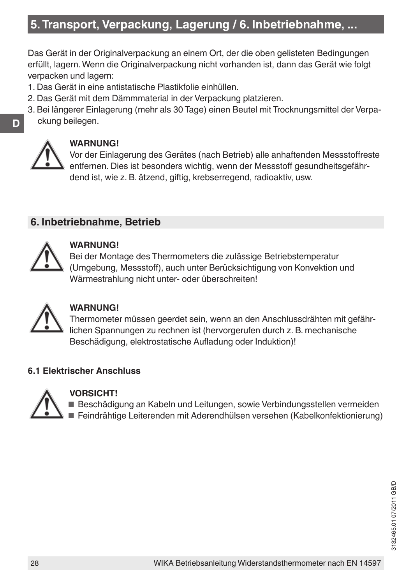# **5. Transport, Verpackung, Lagerung / 6. Inbetriebnahme, ...**

Das Gerät in der Originalverpackung an einem Ort, der die oben gelisteten Bedingungen erfüllt, lagern. Wenn die Originalverpackung nicht vorhanden ist, dann das Gerät wie folgt verpacken und lagern:

- 1. Das Gerät in eine antistatische Plastikfolie einhüllen.
- 2. Das Gerät mit dem Dämmmaterial in der Verpackung platzieren.
- 3. Bei längerer Einlagerung (mehr als 30 Tage) einen Beutel mit Trocknungsmittel der Verpackung beilegen.



**D**

# **WARNUNG!**

Vor der Einlagerung des Gerätes (nach Betrieb) alle anhaftenden Messstoffreste entfernen. Dies ist besonders wichtig, wenn der Messstoff gesundheitsgefährdend ist, wie z. B. ätzend, giftig, krebserregend, radioaktiv, usw.

# **6. Inbetriebnahme, Betrieb**



#### **WARNUNG!**

Bei der Montage des Thermometers die zulässige Betriebstemperatur (Umgebung, Messstoff), auch unter Berücksichtigung von Konvektion und Wärmestrahlung nicht unter- oder überschreiten!



## **WARNUNG!**

Thermometer müssen geerdet sein, wenn an den Anschlussdrähten mit gefährlichen Spannungen zu rechnen ist (hervorgerufen durch z. B. mechanische Beschädigung, elektrostatische Aufladung oder Induktion)!

## **6.1 Elektrischer Anschluss**



## **VORSICHT!**

■ Beschädigung an Kabeln und Leitungen, sowie Verbindungsstellen vermeiden ■ Feindrähtige Leiterenden mit Aderendhülsen versehen (Kabelkonfektionierung)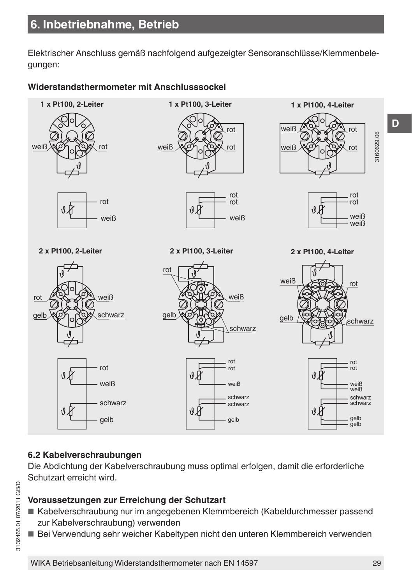Elektrischer Anschluss gemäß nachfolgend aufgezeigter Sensoranschlüsse/Klemmenbelegungen:

## **Widerstandsthermometer mit Anschlusssockel**



## **6.2 Kabelverschraubungen**

Die Abdichtung der Kabelverschraubung muss optimal erfolgen, damit die erforderliche Schutzart erreicht wird.

#### **Voraussetzungen zur Erreichung der Schutzart**

- Kabelverschraubung nur im angegebenen Klemmbereich (Kabeldurchmesser passend zur Kabelverschraubung) verwenden
- Bei Verwendung sehr weicher Kabeltypen nicht den unteren Klemmbereich verwenden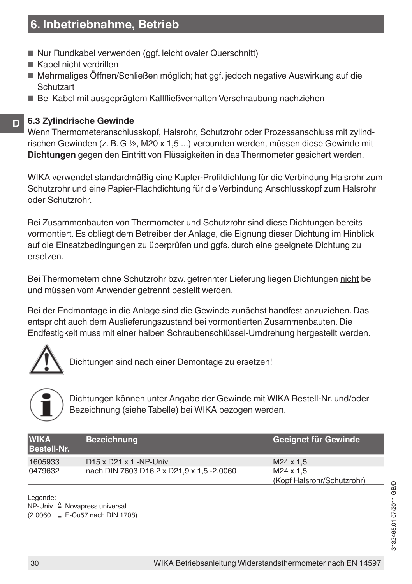# **6. Inbetriebnahme, Betrieb**

- Nur Rundkabel verwenden (ggf. leicht ovaler Querschnitt)
- Kabel nicht verdrillen
- Mehrmaliges Öffnen/Schließen möglich; hat ggf. jedoch negative Auswirkung auf die **Schutzart**
- Bei Kabel mit ausgeprägtem Kaltfließverhalten Verschraubung nachziehen

#### **D 6.3 Zylindrische Gewinde**

Wenn Thermometeranschlusskopf, Halsrohr, Schutzrohr oder Prozessanschluss mit zylindrischen Gewinden (z. B. G ½, M20 x 1,5 ...) verbunden werden, müssen diese Gewinde mit **Dichtungen** gegen den Eintritt von Flüssigkeiten in das Thermometer gesichert werden.

WIKA verwendet standardmäßig eine Kupfer-Profildichtung für die Verbindung Halsrohr zum Schutzrohr und eine Papier-Flachdichtung für die Verbindung Anschlusskopf zum Halsrohr oder Schutzrohr.

Bei Zusammenbauten von Thermometer und Schutzrohr sind diese Dichtungen bereits vormontiert. Es obliegt dem Betreiber der Anlage, die Eignung dieser Dichtung im Hinblick auf die Einsatzbedingungen zu überprüfen und ggfs. durch eine geeignete Dichtung zu ersetzen.

Bei Thermometern ohne Schutzrohr bzw. getrennter Lieferung liegen Dichtungen nicht bei und müssen vom Anwender getrennt bestellt werden.

Bei der Endmontage in die Anlage sind die Gewinde zunächst handfest anzuziehen. Das entspricht auch dem Auslieferungszustand bei vormontierten Zusammenbauten. Die Endfestigkeit muss mit einer halben Schraubenschlüssel-Umdrehung hergestellt werden.



Dichtungen sind nach einer Demontage zu ersetzen!



Dichtungen können unter Angabe der Gewinde mit WIKA Bestell-Nr. und/oder Bezeichnung (siehe Tabelle) bei WIKA bezogen werden.

| <b>WIKA</b><br><b>Bestell-Nr.</b> | <b>Bezeichnung</b>                        | Geeignet für Gewinde       |
|-----------------------------------|-------------------------------------------|----------------------------|
| 1605933                           | $D15 \times D21 \times 1 - NP$ -Univ      | $M24 \times 1.5$           |
| 0479632                           | nach DIN 7603 D16,2 x D21,9 x 1,5 -2.0060 | M24 x 1.5                  |
|                                   |                                           | (Kopf Halsrohr/Schutzrohr) |

Legende:

NP-Univ ≙ Novapress universal  $(2.0060)$  = E-Cu57 nach DIN 1708)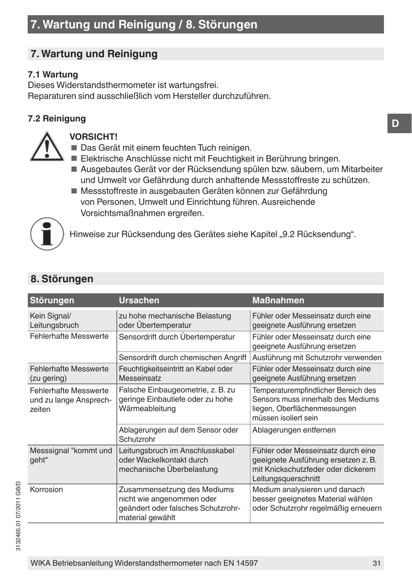# **7. Wartung und Reinigung**

## **7.1 Wartung**

Dieses Widerstandsthermometer ist wartungsfrei. Reparaturen sind ausschließlich vom Hersteller durchzuführen.

# **7.2 Reinigung**



#### **VORSICHT!**

- Das Gerät mit einem feuchten Tuch reinigen.
- Elektrische Anschlüsse nicht mit Feuchtigkeit in Berührung bringen.
- Ausgebautes Gerät vor der Rücksendung spülen bzw. säubern, um Mitarbeiter und Umwelt vor Gefährdung durch anhaftende Messstoffreste zu schützen.
- Messstoffreste in ausgebauten Geräten können zur Gefährdung von Personen, Umwelt und Einrichtung führen. Ausreichende Vorsichtsmaßnahmen ergreifen.



Hinweise zur Rücksendung des Gerätes siehe Kapitel "9.2 Rücksendung".

| <b>Störungen</b>                                                 | <b>Ursachen</b>                                                                                                    | <b>Maßnahmen</b>                                                                                                                       |
|------------------------------------------------------------------|--------------------------------------------------------------------------------------------------------------------|----------------------------------------------------------------------------------------------------------------------------------------|
| Kein Signal/<br>Leitungsbruch                                    | zu hohe mechanische Belastung<br>oder Übertemperatur                                                               | Fühler oder Messeinsatz durch eine<br>geeignete Ausführung ersetzen                                                                    |
| <b>Fehlerhafte Messwerte</b>                                     | Sensordrift durch Übertemperatur                                                                                   | Fühler oder Messeinsatz durch eine<br>geeignete Ausführung ersetzen                                                                    |
|                                                                  | Sensordrift durch chemischen Angriff                                                                               | Ausführung mit Schutzrohr verwenden                                                                                                    |
| <b>Fehlerhafte Messwerte</b><br>(zu gering)                      | Feuchtigkeitseintritt an Kabel oder<br>Messeinsatz                                                                 | Fühler oder Messeinsatz durch eine<br>geeignete Ausführung ersetzen                                                                    |
| <b>Fehlerhafte Messwerte</b><br>und zu lange Ansprech-<br>zeiten | Falsche Einbaugeometrie, z. B. zu<br>geringe Einbautiefe oder zu hohe<br>Wärmeableitung                            | Temperaturempfindlicher Bereich des<br>Sensors muss innerhalb des Mediums<br>liegen, Oberflächenmessungen<br>müssen isoliert sein      |
|                                                                  | Ablagerungen auf dem Sensor oder<br>Schutzrohr                                                                     | Ablagerungen entfernen                                                                                                                 |
| Messsignal "kommt und<br>geht"                                   | Leitungsbruch im Anschlusskabel<br>oder Wackelkontakt durch<br>mechanische Überbelastung                           | Fühler oder Messeinsatz durch eine<br>geeignete Ausführung ersetzen z. B.<br>mit Knickschutzfeder oder dickerem<br>Leitungsquerschnitt |
| Korrosion                                                        | Zusammensetzung des Mediums<br>nicht wie angenommen oder<br>geändert oder falsches Schutzrohr-<br>material gewählt | Medium analysieren und danach<br>besser geeignetes Material wählen<br>oder Schutzrohr regelmäßig erneuern                              |

# **8. Störungen**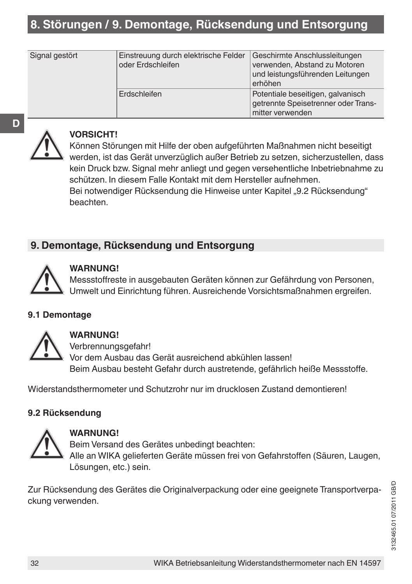# **8. Störungen / 9. Demontage, Rücksendung und Entsorgung**

| Signal gestört | Einstreuung durch elektrische Felder<br>oder Erdschleifen | Geschirmte Anschlussleitungen<br>verwenden, Abstand zu Motoren<br>und leistungsführenden Leitungen<br>erhöhen |
|----------------|-----------------------------------------------------------|---------------------------------------------------------------------------------------------------------------|
|                | Erdschleifen                                              | Potentiale beseitigen, galvanisch<br>getrennte Speisetrenner oder Trans-<br>mitter verwenden                  |



#### **VORSICHT!**

Können Störungen mit Hilfe der oben aufgeführten Maßnahmen nicht beseitigt werden, ist das Gerät unverzüglich außer Betrieb zu setzen, sicherzustellen, dass kein Druck bzw. Signal mehr anliegt und gegen versehentliche Inbetriebnahme zu schützen. In diesem Falle Kontakt mit dem Hersteller aufnehmen. Bei notwendiger Rücksendung die Hinweise unter Kapitel "9.2 Rücksendung" beachten.

# **9. Demontage, Rücksendung und Entsorgung**



#### **WARNUNG!**

Messstoffreste in ausgebauten Geräten können zur Gefährdung von Personen, Umwelt und Einrichtung führen. Ausreichende Vorsichtsmaßnahmen ergreifen.

#### **9.1 Demontage**



### **WARNUNG!**

Verbrennungsgefahr! Vor dem Ausbau das Gerät ausreichend abkühlen lassen! Beim Ausbau besteht Gefahr durch austretende, gefährlich heiße Messstoffe.

Widerstandsthermometer und Schutzrohr nur im drucklosen Zustand demontieren!

#### **9.2 Rücksendung**



#### **WARNUNG!**

Beim Versand des Gerätes unbedingt beachten: Alle an WIKA gelieferten Geräte müssen frei von Gefahrstoffen (Säuren, Laugen, Lösungen, etc.) sein.

Zur Rücksendung des Gerätes die Originalverpackung oder eine geeignete Transportverpackung verwenden.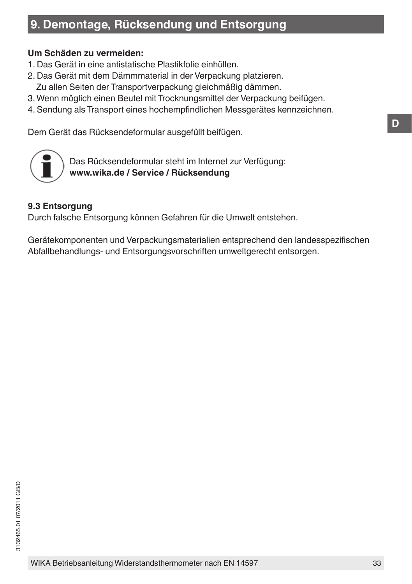# **9. Demontage, Rücksendung und Entsorgung**

#### **Um Schäden zu vermeiden:**

- 1. Das Gerät in eine antistatische Plastikfolie einhüllen.
- 2. Das Gerät mit dem Dämmmaterial in der Verpackung platzieren. Zu allen Seiten der Transportverpackung gleichmäßig dämmen.
- 3. Wenn möglich einen Beutel mit Trocknungsmittel der Verpackung beifügen.
- 4. Sendung als Transport eines hochempfindlichen Messgerätes kennzeichnen.

Dem Gerät das Rücksendeformular ausgefüllt beifügen.



Das Rücksendeformular steht im Internet zur Verfügung: **www.wika.de / Service / Rücksendung**

#### **9.3 Entsorgung**

Durch falsche Entsorgung können Gefahren für die Umwelt entstehen.

Gerätekomponenten und Verpackungsmaterialien entsprechend den landesspezifischen Abfallbehandlungs- und Entsorgungsvorschriften umweltgerecht entsorgen.

**D**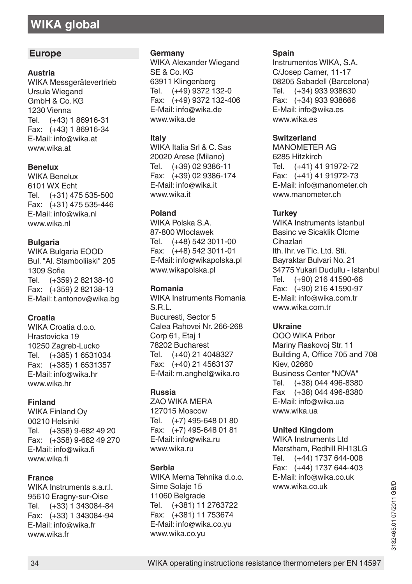# **WIKA global**

#### **Europe**

#### **Austria**

WIKA Messgerätevertrieb Ursula Wiegand GmbH & Co. KG 1230 Vienna<br>Tel  $(+43)$  $(+43)$  1 86916-31 Fax: (+43) 1 86916-34 E-Mail: info@wika.at www.wika.at

#### **Benelux**

WIKA Benelux 6101 WX Echt Tel. (+31) 475 535-500 Fax: (+31) 475 535-446 E-Mail: info@wika.nl www.wika.nl

#### **Bulgaria**

WIKA Bulgaria EOOD Bul. "Al. Stamboliiski" 205 1309 Sofia Tel. (+359) 2 82138-10 Fax: (+359) 2 82138-13 E-Mail: t.antonov@wika.bg

#### **Croatia**

WIKA Croatia d.o.o. Hrastovicka 19 10250 Zagreb-Lucko Tel. (+385) 1 6531034 Fax: (+385) 1 6531357 E-Mail: info@wika.hr www.wika.hr

#### **Finland**

WIKA Finland Oy 00210 Helsinki<br>Tel (+358) 9 Tel. (+358) 9-682 49 20 Fax: (+358) 9-682 49 270 E-Mail: info@wika.fi www.wika.fi

#### **France**

WIKA Instruments s.a.r.l. 95610 Eragny-sur-Oise Tel. (+33) 1 343084-84 Fax: (+33) 1 343084-94 E-Mail: info@wika.fr www.wika.fr

#### **Germany**

WIKA Alexander Wiegand SE & Co. KG 63911 Klingenberg<br>Tel. (+49) 9372 1  $(+49)$  9372 132-0 Fax: (+49) 9372 132-406 E-Mail: info@wika.de www.wika.de

#### **Italy**

WIKA Italia Srl & C. Sas 20020 Arese (Milano)<br>Tel. (+39) 02 9386-1  $(+39)$  02 9386-11 Fax: (+39) 02 9386-174 E-Mail: info@wika.it www.wika.it

#### **Poland**

WIKA Polska S.A. 87-800 Wloclawek Tel. (+48) 542 3011-00 Fax: (+48) 542 3011-01 E-Mail: info@wikapolska.pl www.wikapolska.pl

#### **Romania**

WIKA Instruments Romania S.R.L. Bucuresti, Sector 5 Calea Rahovei Nr. 266-268 Corp 61, Etaj 1 78202 Bucharest Tel. (+40) 21 4048327 Fax: (+40) 21 4563137 E-Mail: m.anghel@wika.ro

#### **Russia**

ZAO WIKA MERA 127015 Moscow Tel. (+7) 495-648 01 80 Fax: (+7) 495-648 01 81 E-Mail: info@wika.ru www.wika.ru

#### **Serbia**

WIKA Merna Tehnika d.o.o. Sime Solaje 15 11060 Belgrade Tel. (+381) 11 2763722 Fax: (+381) 11 753674 E-Mail: info@wika.co.yu www.wika.co.yu

#### **Spain**

Instrumentos WIKA, S.A. C/Josep Carner, 11-17 08205 Sabadell (Barcelona)<br>Tel. (+34) 933 938630 (+34) 933 938630 Fax: (+34) 933 938666 E-Mail: info@wika.es www.wika.es

#### **Switzerland**

MANOMETER AG 6285 Hitzkirch<br>Tel (+41) 41 Tel. (+41) 41 91972-72 Fax: (+41) 41 91972-73 E-Mail: info@manometer.ch www.manometer.ch

#### **Turkey**

WIKA Instruments Istanbul Basinc ve Sicaklik Ölcme Cihazlari Ith. Ihr. ve Tic. Ltd. Sti. Bayraktar Bulvari No. 21 34775 Yukari Dudullu - Istanbul<br>Tel (+90) 216 41590-66  $(+90)$  216 41590-66 Fax: (+90) 216 41590-97 E-Mail: info@wika.com.tr www.wika.com.tr

#### **Ukraine**

OOO WIKA Pribor Mariny Raskovoj Str. 11 Building A, Office 705 and 708 Kiev, 02660 Business Center "NOVA"<br>Tel (+38) 044 496-838  $(+38)$  044 496-8380 Fax (+38) 044 496-8380 E-Mail: info@wika.ua www.wika.ua

#### **United Kingdom**

WIKA Instruments Ltd Merstham, Redhill RH13LG<br>Tel. (+44) 1737 644-008 (+44) 1737 644-008 Fax: (+44) 1737 644-403 E-Mail: info@wika.co.uk www.wika.co.uk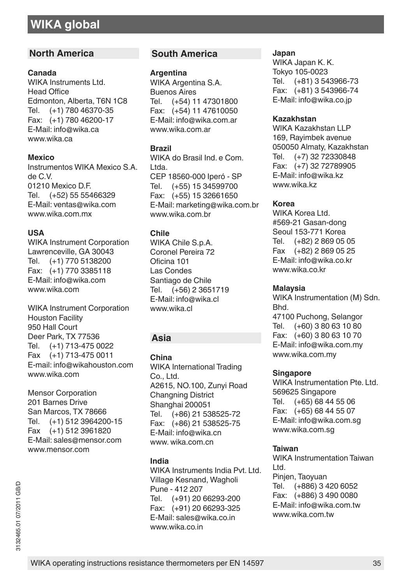#### **North America**

#### **Canada**

WIKA Instruments Ltd. Head Office Edmonton, Alberta, T6N 1C8<br>Tel. (+1) 780 46370-35  $(+1)$  780 46370-35 Fax: (+1) 780 46200-17 E-Mail: info@wika.ca www.wika.ca

#### **Mexico**

Instrumentos WIKA Mexico S.A. de C.V. 01210 Mexico D.F.<br>Tel (+52) 55.554 (+52) 55 55466329 E-Mail: ventas@wika.com www.wika.com.mx

#### **USA**

WIKA Instrument Corporation Lawrenceville, GA 30043<br>Tel (+1) 770 5138200  $(+1)$  770 5138200 Fax: (+1) 770 3385118 E-Mail: info@wika.com www.wika.com

WIKA Instrument Corporation Houston Facility 950 Hall Court Deer Park, TX 77536<br>Tel (+1) 713-4750  $(+1)$  713-475 0022 Fax (+1) 713-475 0011 E-mail: info@wikahouston.com www.wika.com

Mensor Corporation 201 Barnes Drive San Marcos, TX 78666 Tel. (+1) 512 3964200-15 Fax (+1) 512 3961820 E-Mail: sales@mensor.com www.mensor.com

3132465.01 07/2011 GB/D 3132465.01 07/2011 GB/D

#### **South America**

#### **Argentina**

WIKA Argentina S.A. Buenos Aires Tel. (+54) 11 47301800 Fax: (+54) 11 47610050 E-Mail: info@wika.com.ar www.wika.com.ar

#### **Brazil**

WIKA do Brasil Ind. e Com. Ltda. CEP 18560-000 Iperó - SP Tel. (+55) 15 34599700 Fax: (+55) 15 32661650 E-Mail: marketing@wika.com.br www.wika.com.br

#### **Chile**

WIKA Chile S.p.A. Coronel Pereira 72 Oficina 101 Las Condes Santiago de Chile Tel. (+56) 2 3651719 E-Mail: info@wika.cl www.wika.cl

#### **Asia**

**China**

WIKA International Trading Co., Ltd. A2615, NO.100, Zunyi Road **Changning District** Shanghai 200051 Tel. (+86) 21 538525-72 Fax: (+86) 21 538525-75 E-Mail: info@wika.cn www. wika.com.cn

#### **India**

WIKA Instruments India Pvt. Ltd. Village Kesnand, Wagholi Pune - 412 207 Tel. (+91) 20 66293-200 Fax: (+91) 20 66293-325 E-Mail: sales@wika.co.in www.wika.co.in

#### **Japan**

WIKA Japan K. K. Tokyo 105-0023<br>Tel (+81) 3.54  $(+81)$  3 543966-73 Fax: (+81) 3 543966-74 E-Mail: info@wika.co.jp

#### **Kazakhstan**

WIKA Kazakhstan I I P 169, Rayimbek avenue 050050 Almaty, Kazakhstan Tel. (+7) 32 72330848 Fax: (+7) 32 72789905 E-Mail: info@wika.kz www.wika.kz

#### **Korea**

WIKA Korea Ltd. #569-21 Gasan-dong Seoul 153-771 Korea<br>Tel (+82) 2 869 05 Tel. (+82) 2 869 05 05 Fax (+82) 2 869 05 25 E-Mail: info@wika.co.kr www.wika.co.kr

#### **Malaysia**

WIKA Instrumentation (M) Sdn. Bhd. 47100 Puchong, Selangor<br>Tel (+60) 3.80.63.10.80  $(+60)$  3 80 63 10 80 Fax: (+60) 3 80 63 10 70 E-Mail: info@wika.com.my www.wika.com.my

#### **Singapore**

WIKA Instrumentation Pte. Ltd. 569625 Singapore<br>Tel. (+65) 68 44  $(+65)$  68 44 55 06 Fax: (+65) 68 44 55 07 E-Mail: info@wika.com.sg www.wika.com.sg

#### **Taiwan**

WIKA Instrumentation Taiwan Ltd. Pinjen, Taoyuan Tel. (+886) 3 420 6052 Fax: (+886) 3 490 0080 E-Mail: info@wika.com.tw www.wika.com.tw